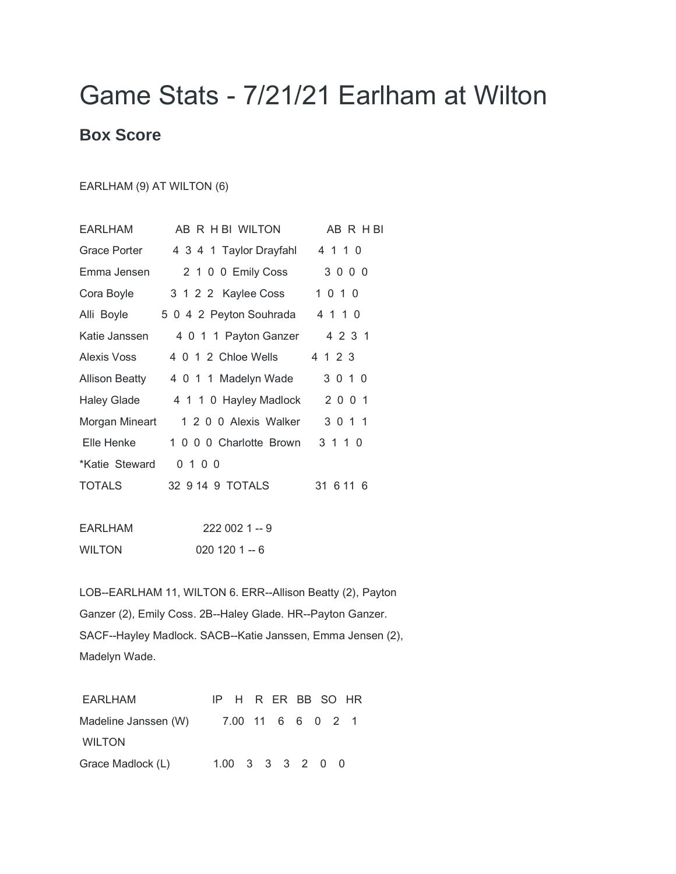## Game Stats - 7/21/21 Earlham at Wilton

## **Box Score**

## EARLHAM (9) AT WILTON (6)

| EARLHAM        | AB R H BI WILTON        | AB R H BI |
|----------------|-------------------------|-----------|
| Grace Porter   | 4 3 4 1 Taylor Drayfahl | 4 1 1 0   |
| Emma Jensen    | 2 1 0 0 Emily Coss      | 3000      |
| Cora Boyle     | 3 1 2 2 Kaylee Coss     | 1 0 1 0   |
| Alli Boyle     | 5 0 4 2 Peyton Souhrada | 4 1 1 0   |
| Katie Janssen  | 4 0 1 1 Payton Ganzer   | 4 2 3 1   |
| Alexis Voss    | 4 0 1 2 Chloe Wells     | 4 1 2 3   |
| Allison Beatty | 4 0 1 1 Madelyn Wade    | 3 0 1 0   |
| Haley Glade    | 4 1 1 0 Hayley Madlock  | 2 0 0 1   |
| Morgan Mineart | 1 2 0 0 Alexis Walker   | 3 0 1 1   |
| Elle Henke     | 1 0 0 0 Charlotte Brown | 3 1 1 0   |
| *Katie Steward | 0100                    |           |
| <b>TOTALS</b>  | 32 9 14 9 TOTALS        | 31 6 11 6 |
|                |                         |           |

| EARLHAM       | $2220021 - 9$ |
|---------------|---------------|
| <b>WILTON</b> | $0201201 - 6$ |

LOB--EARLHAM 11, WILTON 6. ERR--Allison Beatty (2), Payton Ganzer (2), Emily Coss. 2B--Haley Glade. HR--Payton Ganzer. SACF--Hayley Madlock. SACB--Katie Janssen, Emma Jensen (2), Madelyn Wade.

| EARLHAM                                |  |  | IP H R ER BB SO HR |  |  |  |
|----------------------------------------|--|--|--------------------|--|--|--|
| Madeline Janssen (W) 7.00 11 6 6 0 2 1 |  |  |                    |  |  |  |
| <b>WILTON</b>                          |  |  |                    |  |  |  |
| Grace Madlock (L)                      |  |  | 1.00 3 3 3 2 0 0   |  |  |  |